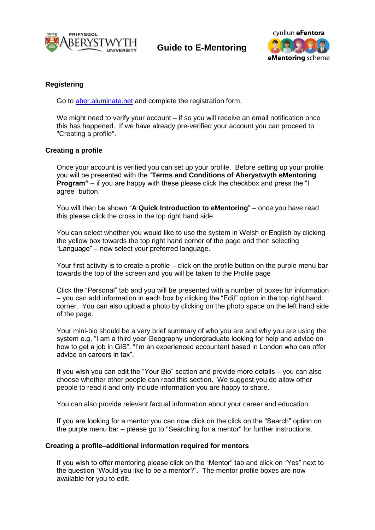

**Guide to E-Mentoring**



## **Registering**

Go to [aber.aluminate.net](https://secure2.aluminati.net/aber.aluminate.net/content/register/register.php) and complete the registration form.

We might need to verify your account – if so you will receive an email notification once this has happened. If we have already pre-verified your account you can proceed to "Creating a profile".

### **Creating a profile**

Once your account is verified you can set up your profile. Before setting up your profile you will be presented with the "**Terms and Conditions of Aberystwyth eMentoring Program**" – if you are happy with these please click the checkbox and press the "I agree" button.

You will then be shown "**A Quick Introduction to eMentoring**" – once you have read this please click the cross in the top right hand side.

You can select whether you would like to use the system in Welsh or English by clicking the yellow box towards the top right hand corner of the page and then selecting "Language" – now select your preferred language.

Your first activity is to create a profile – click on the profile button on the purple menu bar towards the top of the screen and you will be taken to the Profile page

Click the "Personal" tab and you will be presented with a number of boxes for information – you can add information in each box by clicking the "Edit" option in the top right hand corner. You can also upload a photo by clicking on the photo space on the left hand side of the page.

Your mini-bio should be a very brief summary of who you are and why you are using the system e.g. "I am a third year Geography undergraduate looking for help and advice on how to get a job in GIS", "I'm an experienced accountant based in London who can offer advice on careers in tax".

If you wish you can edit the "Your Bio" section and provide more details – you can also choose whether other people can read this section. We suggest you do allow other people to read it and only include information you are happy to share.

You can also provide relevant factual information about your career and education.

If you are looking for a mentor you can now click on the click on the "Search" option on the purple menu bar – please go to "Searching for a mentor" for further instructions.

#### **Creating a profile–additional information required for mentors**

If you wish to offer mentoring please click on the "Mentor" tab and click on "Yes" next to the question "Would you like to be a mentor?". The mentor profile boxes are now available for you to edit.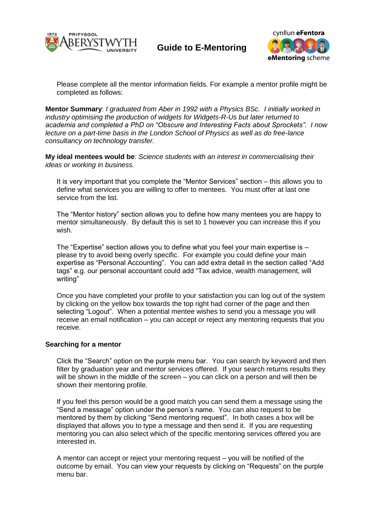

**Guide to E-Mentoring**



Please complete all the mentor information fields. For example a mentor profile might be completed as follows:

**Mentor Summary**: *I graduated from Aber in 1992 with a Physics BSc. I initially worked in industry optimising the production of widgets for Widgets-R-Us but later returned to academia and completed a PhD on "Obscure and Interesting Facts about Sprockets". I now lecture on a part-time basis in the London School of Physics as well as do free-lance consultancy on technology transfer.*

**My ideal mentees would be**: *Science students with an interest in commercialising their ideas or working in business.*

It is very important that you complete the "Mentor Services" section – this allows you to define what services you are willing to offer to mentees. You must offer at last one service from the list.

The "Mentor history" section allows you to define how many mentees you are happy to mentor simultaneously. By default this is set to 1 however you can increase this if you wish.

The "Expertise" section allows you to define what you feel your main expertise is  $$ please try to avoid being overly specific. For example you could define your main expertise as "Personal Accounting". You can add extra detail in the section called "Add tags" e.g. our personal accountant could add "Tax advice, wealth management, will writing"

Once you have completed your profile to your satisfaction you can log out of the system by clicking on the yellow box towards the top right had corner of the page and then selecting "Logout". When a potential mentee wishes to send you a message you will receive an email notification – you can accept or reject any mentoring requests that you receive.

#### **Searching for a mentor**

Click the "Search" option on the purple menu bar. You can search by keyword and then filter by graduation year and mentor services offered. If your search returns results they will be shown in the middle of the screen – you can click on a person and will then be shown their mentoring profile.

If you feel this person would be a good match you can send them a message using the "Send a message" option under the person's name. You can also request to be mentored by them by clicking "Send mentoring request". In both cases a box will be displayed that allows you to type a message and then send it. If you are requesting mentoring you can also select which of the specific mentoring services offered you are interested in.

A mentor can accept or reject your mentoring request – you will be notified of the outcome by email. You can view your requests by clicking on "Requests" on the purple menu bar.